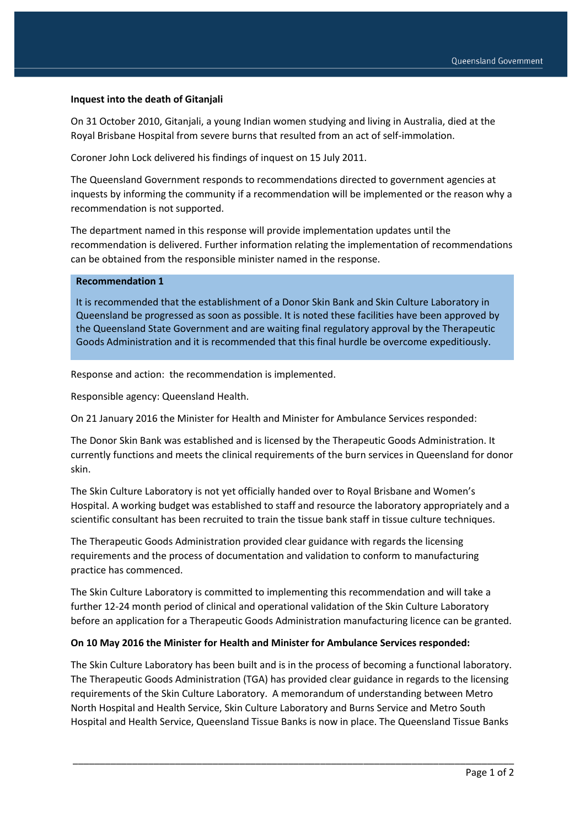## **Inquest into the death of Gitanjali**

On 31 October 2010, Gitanjali, a young Indian women studying and living in Australia, died at the Royal Brisbane Hospital from severe burns that resulted from an act of self-immolation.

Coroner John Lock delivered his findings of inquest on 15 July 2011.

The Queensland Government responds to recommendations directed to government agencies at inquests by informing the community if a recommendation will be implemented or the reason why a recommendation is not supported.

The department named in this response will provide implementation updates until the recommendation is delivered. Further information relating the implementation of recommendations can be obtained from the responsible minister named in the response.

## **Recommendation 1**

It is recommended that the establishment of a Donor Skin Bank and Skin Culture Laboratory in Queensland be progressed as soon as possible. It is noted these facilities have been approved by the Queensland State Government and are waiting final regulatory approval by the Therapeutic Goods Administration and it is recommended that this final hurdle be overcome expeditiously.

Response and action: the recommendation is implemented.

Responsible agency: Queensland Health.

On 21 January 2016 the Minister for Health and Minister for Ambulance Services responded:

The Donor Skin Bank was established and is licensed by the Therapeutic Goods Administration. It currently functions and meets the clinical requirements of the burn services in Queensland for donor skin.

The Skin Culture Laboratory is not yet officially handed over to Royal Brisbane and Women's Hospital. A working budget was established to staff and resource the laboratory appropriately and a scientific consultant has been recruited to train the tissue bank staff in tissue culture techniques.

The Therapeutic Goods Administration provided clear guidance with regards the licensing requirements and the process of documentation and validation to conform to manufacturing practice has commenced.

The Skin Culture Laboratory is committed to implementing this recommendation and will take a further 12-24 month period of clinical and operational validation of the Skin Culture Laboratory before an application for a Therapeutic Goods Administration manufacturing licence can be granted.

## **On 10 May 2016 the Minister for Health and Minister for Ambulance Services responded:**

The Skin Culture Laboratory has been built and is in the process of becoming a functional laboratory. The Therapeutic Goods Administration (TGA) has provided clear guidance in regards to the licensing requirements of the Skin Culture Laboratory. A memorandum of understanding between Metro North Hospital and Health Service, Skin Culture Laboratory and Burns Service and Metro South Hospital and Health Service, Queensland Tissue Banks is now in place. The Queensland Tissue Banks

\_\_\_\_\_\_\_\_\_\_\_\_\_\_\_\_\_\_\_\_\_\_\_\_\_\_\_\_\_\_\_\_\_\_\_\_\_\_\_\_\_\_\_\_\_\_\_\_\_\_\_\_\_\_\_\_\_\_\_\_\_\_\_\_\_\_\_\_\_\_\_\_\_\_\_\_\_\_\_\_\_\_